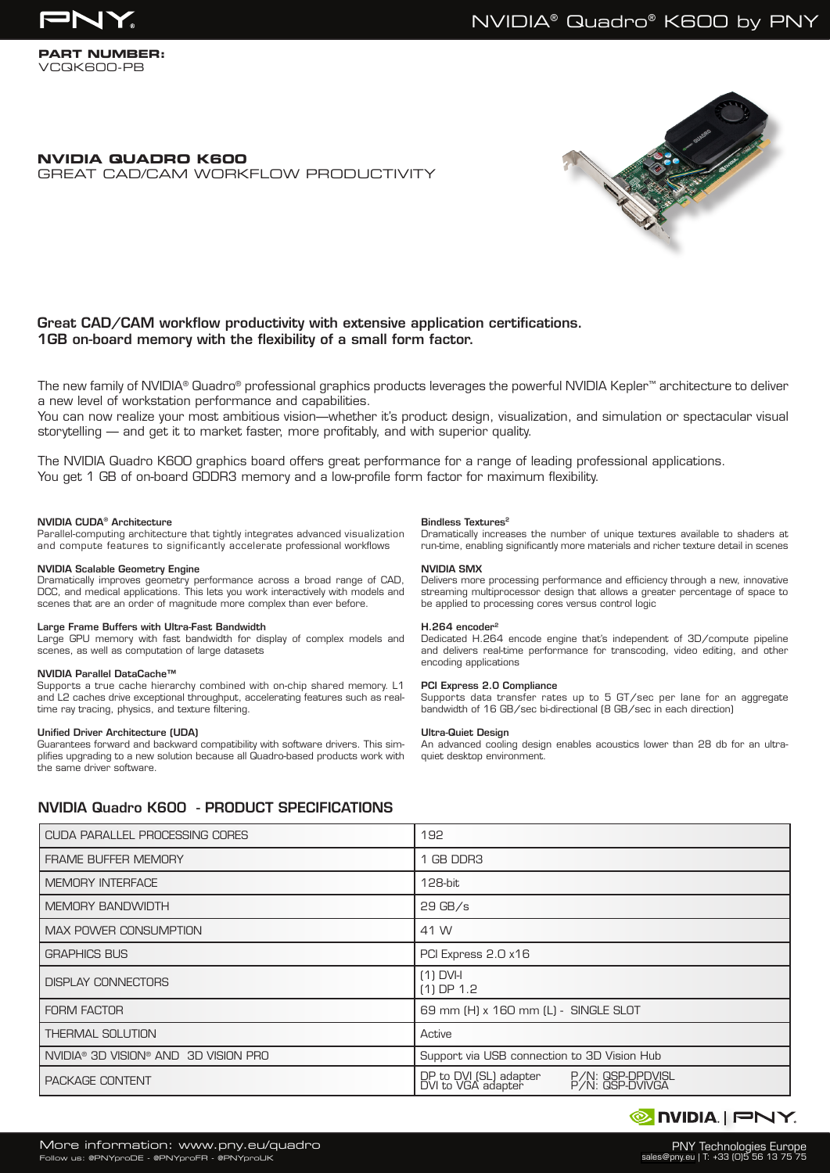

### **PART NUMBER:** VCQK600-PB

# **NVIDIA QUADRO K600** GREAT CAD/CAM WORKFLOW PRODUCTIVITY



# Great CAD/CAM workflow productivity with extensive application certifications. 1GB on-board memory with the flexibility of a small form factor.

The new family of NVIDIA® Quadro® professional graphics products leverages the powerful NVIDIA Kepler™ architecture to deliver a new level of workstation performance and capabilities.

You can now realize your most ambitious vision—whether it's product design, visualization, and simulation or spectacular visual storytelling — and get it to market faster, more profitably, and with superior quality.

The NVIDIA Quadro K600 graphics board offers great performance for a range of leading professional applications. You get 1 GB of on-board GDDR3 memory and a low-profile form factor for maximum flexibility.

### NVIDIA CUDA® Architecture

Parallel-computing architecture that tightly integrates advanced visualization and compute features to significantly accelerate professional workflows

# NVIDIA Scalable Geometry Engine

Dramatically improves geometry performance across a broad range of CAD, DCC, and medical applications. This lets you work interactively with models and scenes that are an order of magnitude more complex than ever before.

#### Large Frame Buffers with Ultra-Fast Bandwidth

Large GPU memory with fast bandwidth for display of complex models and scenes, as well as computation of large datasets

#### NVIDIA Parallel DataCache™

Supports a true cache hierarchy combined with on-chip shared memory. L1 and L2 caches drive exceptional throughput, accelerating features such as realtime ray tracing, physics, and texture filtering.

#### Unified Driver Architecture (UDA)

Guarantees forward and backward compatibility with software drivers. This simplifies upgrading to a new solution because all Quadro-based products work with the same driver software.

#### Bindless Textures<sup>2</sup>

Dramatically increases the number of unique textures available to shaders at run-time, enabling significantly more materials and richer texture detail in scenes

### NVIDIA SMX

Delivers more processing performance and efficiency through a new, innovative streaming multiprocessor design that allows a greater percentage of space to be applied to processing cores versus control logic

#### H.264 encoder2

Dedicated H.264 encode engine that's independent of 3D/compute pipeline and delivers real-time performance for transcoding, video editing, and other encoding applications

#### PCI Express 2.0 Compliance

Supports data transfer rates up to 5 GT/sec per lane for an aggregate bandwidth of 16 GB/sec bi-directional (8 GB/sec in each direction)

#### Ultra-Quiet Design

An advanced cooling design enables acoustics lower than 28 db for an ultraquiet desktop environment.

# NVIDIA Quadro K600 - PRODUCT SPECIFICATIONS

| CUDA PARALLEL PROCESSING CORES       | 192                                                                                 |  |  |
|--------------------------------------|-------------------------------------------------------------------------------------|--|--|
| <b>FRAME BUFFER MEMORY</b>           | 1 GB DDR3                                                                           |  |  |
| <b>MEMORY INTERFACE</b>              | 128-bit                                                                             |  |  |
| <b>MEMORY BANDWIDTH</b>              | $29$ GB/s                                                                           |  |  |
| MAX POWER CONSUMPTION                | 41 W                                                                                |  |  |
| <b>GRAPHICS BUS</b>                  | PCI Express 2.0 x16                                                                 |  |  |
| <b>DISPLAY CONNECTORS</b>            | $(1)$ DVI-I<br>$(1)$ DP $1.2$                                                       |  |  |
| <b>FORM FACTOR</b>                   | 69 mm (H) x 160 mm (L) - SINGLE SLOT                                                |  |  |
| <b>THERMAL SOLUTION</b>              | Active                                                                              |  |  |
| NVIDIA® 3D VISION® AND 3D VISION PRO | Support via USB connection to 3D Vision Hub                                         |  |  |
| PACKAGE CONTENT                      | DP to DVI (SL) adapter<br>DVI to VGA adapter<br>P/N: QSP-DPDVISL<br>P/N: QSP-DVIVGA |  |  |

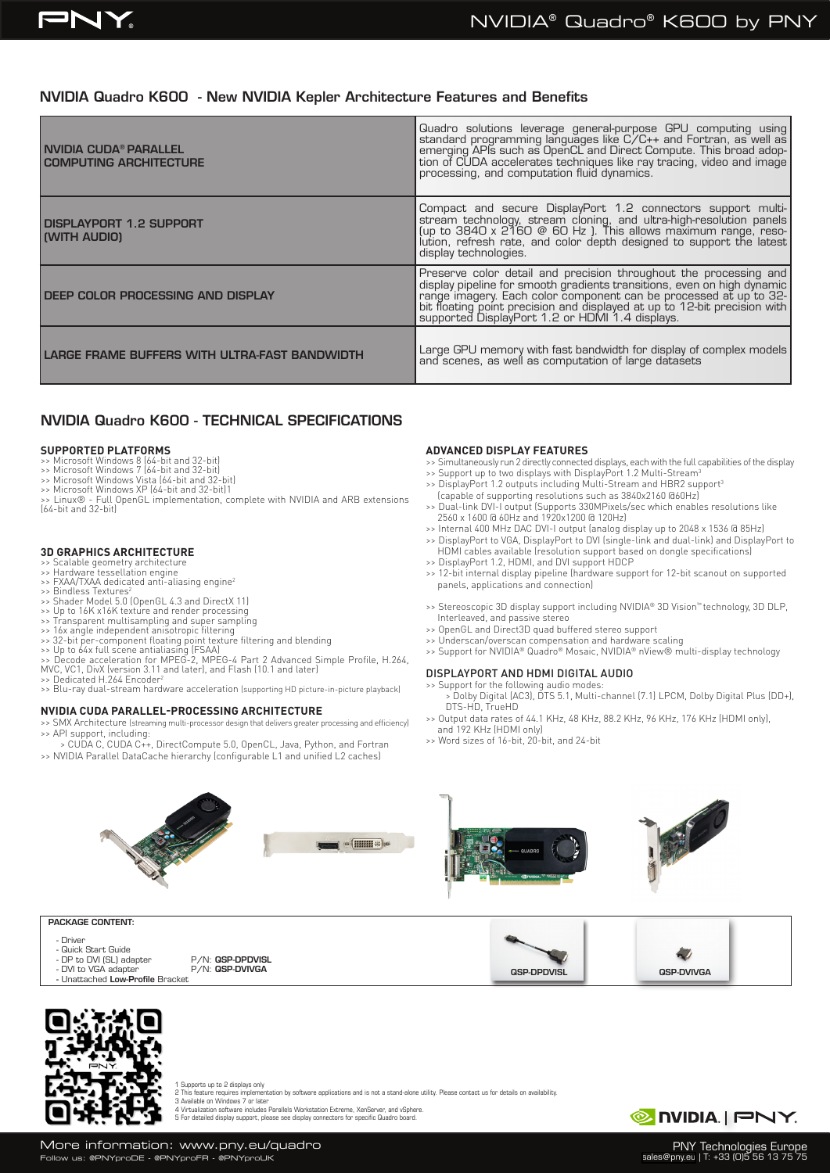# NVIDIA Quadro K600 - New NVIDIA Kepler Architecture Features and Benefits

| I NVIDIA CUDA® PARALLEL<br><b>COMPUTING ARCHITECTURE</b> | Quadro solutions leverage general-purpose GPU computing using<br>standard programming languages like C/C++ and Fortran, as well as<br>emerging APIs such as OpenCL and Direct Compute. This broad adop-<br>tion of CUDA accelerates tec                                                                     |
|----------------------------------------------------------|-------------------------------------------------------------------------------------------------------------------------------------------------------------------------------------------------------------------------------------------------------------------------------------------------------------|
| DISPLAYPORT 1.2 SUPPORT<br>(WITH AUDIO)                  | Compact and secure DisplayPort 1.2 connectors support multi-<br>stream technology, stream cloning, and ultra-high-resolution panels<br>(up to $3840 \times 2160 \circledcirc 60$ Hz). This allows maximum range, resolution, refresh rate, and co<br>display technologies.                                  |
| DEEP COLOR PROCESSING AND DISPLAY                        | Preserve color detail and precision throughout the processing and<br>display pipeline for smooth gradients transitions, even on high dynamic<br>range imagery. Each color component can be processed at up to 32-<br>bit floating point precision and displayed at up to 12-bit precision with<br>supported |
| LARGE FRAME BUFFERS WITH ULTRA-FAST BANDWIDTH            | Large GPU memory with fast bandwidth for display of complex models and scenes, as well as computation of large datasets                                                                                                                                                                                     |

# NVIDIA Quadro K600 - TECHNICAL SPECIFICATIONS

#### **SUPPORTED PLATFORMS**

- 
- 
- >> Microsoft Windows 8 (64-bit and 32-bit) >> Microsoft Windows 7 (64-bit and 32-bit) >> Microsoft Windows Vista (64-bit and 32-bit) >> Microsoft Windows XP (64-bit and 32-bit)1
- 
- >> Linux® Full OpenGL implementation, complete with NVIDIA and ARB extensions (64-bit and 32-bit)

# **3D GRAPHICS ARCHITECTURE**

- >> Scalable geometry architecture >> Hardware tessellation engine
- >> FXAA/TXAA dedicated anti-aliasing engine2
- >> Bindless Textures<sup>2</sup>
- >> Shader Model 5.0 (OpenGL 4.3 and DirectX 11) >> Up to 16K x16K texture and render processing
- 
- 
- 
- 
- >> Transparent multisampling and super sampling<br>>> 16x angle independent anisotropic filtering<br>>> 32-bit per-component floating point texture filtering and blending<br>>> Up to 64x full scene antialiasing (FSAA)<br>>> Decode acc >> Dedicated H.264 Encoder<sup>2</sup>
- >> Blu-ray dual-stream hardware acceleration (supporting HD picture-in-picture playback)

# **NVIDIA CUDA PARALLEL-PROCESSING ARCHITECTURE**

- >> SMX Architecture (streaming multi-processor design that delivers greater processing and efficiency) >> API support, including:
- > CUDA C, CUDA C++, DirectCompute 5.0, OpenCL, Java, Python, and Fortran >> NVIDIA Parallel DataCache hierarchy (configurable L1 and unified L2 caches)

### **ADVANCED DISPLAY FEATURES**

- >> Simultaneously run 2 directly connected displays, each with the full capabilities of the display
- >> Support up to two displays with DisplayPort 1.2 Multi-Stream<sup>3</sup>
- >> DisplayPort 1.2 outputs including Multi-Stream and HBR2 support<sup>3</sup>
- (capable of supporting resolutions such as 3840x2160 @60Hz) >> Dual-link DVI-I output (Supports 330MPixels/sec which enables resolutions like 2560 x 1600 @ 60Hz and 1920x1200 @ 120Hz)
- >> Internal 400 MHz DAC DVI-I output (analog display up to 2048 x 1536 @ 85Hz)
- >> DisplayPort to VGA, DisplayPort to DVI (single-link and dual-link) and DisplayPort to HDMI cables available (resolution support based on dongle specifications) >> DisplayPort 1.2, HDMI, and DVI support HDCP
- >> 12-bit internal display pipeline (hardware support for 12-bit scanout on supported panels, applications and connection)
- >> Stereoscopic 3D display support including NVIDIA® 3D Vision™ technology, 3D DLP, Interleaved, and passive stereo
- >> OpenGL and Direct3D quad buffered stereo support
- >> Underscan/overscan compensation and hardware scaling
- >> Support for NVIDIA® Quadro® Mosaic, NVIDIA® nView® multi-display technology

### DISPLAYPORT AND HDMI DIGITAL AUDIO

>> Support for the following audio modes: > Dolby Digital (AC3), DTS 5.1, Multi-channel (7.1) LPCM, Dolby Digital Plus (DD+), DTS-HD, TrueHD

QSP-DPDVISL QSP-DVIVGA

- >> Output data rates of 44.1 KHz, 48 KHz, 88.2 KHz, 96 KHz, 176 KHz (HDMI only),
- and 192 KHz (HDMI only) >> Word sizes of 16-bit, 20-bit, and 24-bit
- $\circ \left( \frac{\text{min}}{\text{min}} \pm \right) \circ$

# PACKAGE CONTENT:

- Driver
- Quick Start Guide
- DVI to VGA adapter
- Unattached Low-Profile Bracket





1 Supports up to 2 displays only<br>2 This feature requires implementation by software applications and is not a stand-alone utility. Please contact us for details on availability.<br>3 Available on Windows 7 or later<br>4 Virtuali



 $\sim$ 

PNY Technologies Europe sales@pny.eu | T: +33 (0)5 56 13 75 75